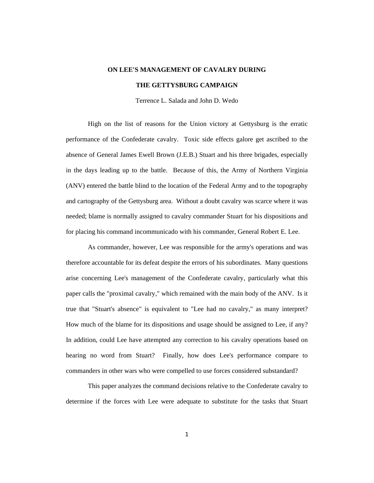# **ON LEE'S MANAGEMENT OF CAVALRY DURING**

# **THE GETTYSBURG CAMPAIGN**

Terrence L. Salada and John D. Wedo

High on the list of reasons for the Union victory at Gettysburg is the erratic performance of the Confederate cavalry. Toxic side effects galore get ascribed to the absence of General James Ewell Brown (J.E.B.) Stuart and his three brigades, especially in the days leading up to the battle. Because of this, the Army of Northern Virginia (ANV) entered the battle blind to the location of the Federal Army and to the topography and cartography of the Gettysburg area. Without a doubt cavalry was scarce where it was needed; blame is normally assigned to cavalry commander Stuart for his dispositions and for placing his command incommunicado with his commander, General Robert E. Lee.

As commander, however, Lee was responsible for the army's operations and was therefore accountable for its defeat despite the errors of his subordinates. Many questions arise concerning Lee's management of the Confederate cavalry, particularly what this paper calls the "proximal cavalry," which remained with the main body of the ANV. Is it true that "Stuart's absence" is equivalent to "Lee had no cavalry," as many interpret? How much of the blame for its dispositions and usage should be assigned to Lee, if any? In addition, could Lee have attempted any correction to his cavalry operations based on hearing no word from Stuart? Finally, how does Lee's performance compare to commanders in other wars who were compelled to use forces considered substandard?

This paper analyzes the command decisions relative to the Confederate cavalry to determine if the forces with Lee were adequate to substitute for the tasks that Stuart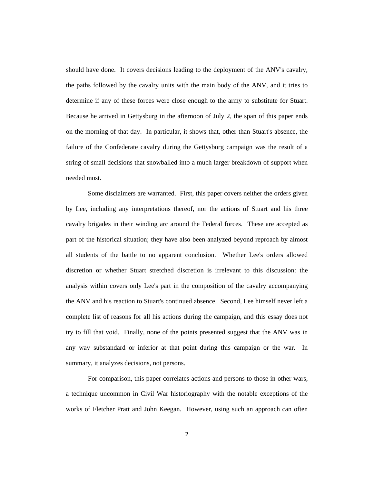should have done. It covers decisions leading to the deployment of the ANV's cavalry, the paths followed by the cavalry units with the main body of the ANV, and it tries to determine if any of these forces were close enough to the army to substitute for Stuart. Because he arrived in Gettysburg in the afternoon of July 2, the span of this paper ends on the morning of that day. In particular, it shows that, other than Stuart's absence, the failure of the Confederate cavalry during the Gettysburg campaign was the result of a string of small decisions that snowballed into a much larger breakdown of support when needed most.

Some disclaimers are warranted. First, this paper covers neither the orders given by Lee, including any interpretations thereof, nor the actions of Stuart and his three cavalry brigades in their winding arc around the Federal forces. These are accepted as part of the historical situation; they have also been analyzed beyond reproach by almost all students of the battle to no apparent conclusion. Whether Lee's orders allowed discretion or whether Stuart stretched discretion is irrelevant to this discussion: the analysis within covers only Lee's part in the composition of the cavalry accompanying the ANV and his reaction to Stuart's continued absence. Second, Lee himself never left a complete list of reasons for all his actions during the campaign, and this essay does not try to fill that void. Finally, none of the points presented suggest that the ANV was in any way substandard or inferior at that point during this campaign or the war. In summary, it analyzes decisions, not persons.

For comparison, this paper correlates actions and persons to those in other wars, a technique uncommon in Civil War historiography with the notable exceptions of the works of Fletcher Pratt and John Keegan. However, using such an approach can often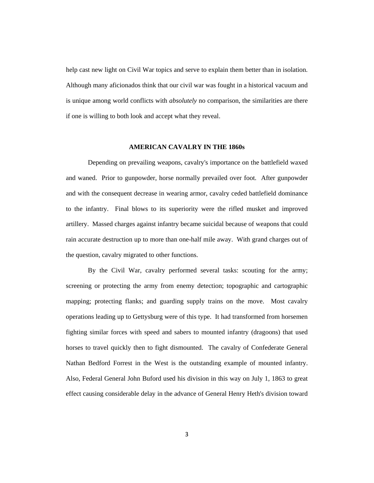help cast new light on Civil War topics and serve to explain them better than in isolation. Although many aficionados think that our civil war was fought in a historical vacuum and is unique among world conflicts with *absolutely* no comparison, the similarities are there if one is willing to both look and accept what they reveal.

#### **AMERICAN CAVALRY IN THE 1860s**

Depending on prevailing weapons, cavalry's importance on the battlefield waxed and waned. Prior to gunpowder, horse normally prevailed over foot. After gunpowder and with the consequent decrease in wearing armor, cavalry ceded battlefield dominance to the infantry. Final blows to its superiority were the rifled musket and improved artillery. Massed charges against infantry became suicidal because of weapons that could rain accurate destruction up to more than one-half mile away. With grand charges out of the question, cavalry migrated to other functions.

By the Civil War, cavalry performed several tasks: scouting for the army; screening or protecting the army from enemy detection; topographic and cartographic mapping; protecting flanks; and guarding supply trains on the move. Most cavalry operations leading up to Gettysburg were of this type. It had transformed from horsemen fighting similar forces with speed and sabers to mounted infantry (dragoons) that used horses to travel quickly then to fight dismounted. The cavalry of Confederate General Nathan Bedford Forrest in the West is the outstanding example of mounted infantry. Also, Federal General John Buford used his division in this way on July 1, 1863 to great effect causing considerable delay in the advance of General Henry Heth's division toward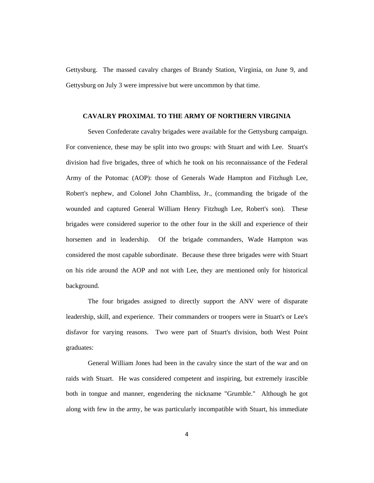Gettysburg. The massed cavalry charges of Brandy Station, Virginia, on June 9, and Gettysburg on July 3 were impressive but were uncommon by that time.

## **CAVALRY PROXIMAL TO THE ARMY OF NORTHERN VIRGINIA**

Seven Confederate cavalry brigades were available for the Gettysburg campaign. For convenience, these may be split into two groups: with Stuart and with Lee. Stuart's division had five brigades, three of which he took on his reconnaissance of the Federal Army of the Potomac (AOP): those of Generals Wade Hampton and Fitzhugh Lee, Robert's nephew, and Colonel John Chambliss, Jr., (commanding the brigade of the wounded and captured General William Henry Fitzhugh Lee, Robert's son). These brigades were considered superior to the other four in the skill and experience of their horsemen and in leadership. Of the brigade commanders, Wade Hampton was considered the most capable subordinate. Because these three brigades were with Stuart on his ride around the AOP and not with Lee, they are mentioned only for historical background.

The four brigades assigned to directly support the ANV were of disparate leadership, skill, and experience. Their commanders or troopers were in Stuart's or Lee's disfavor for varying reasons. Two were part of Stuart's division, both West Point graduates:

General William Jones had been in the cavalry since the start of the war and on raids with Stuart. He was considered competent and inspiring, but extremely irascible both in tongue and manner, engendering the nickname "Grumble." Although he got along with few in the army, he was particularly incompatible with Stuart, his immediate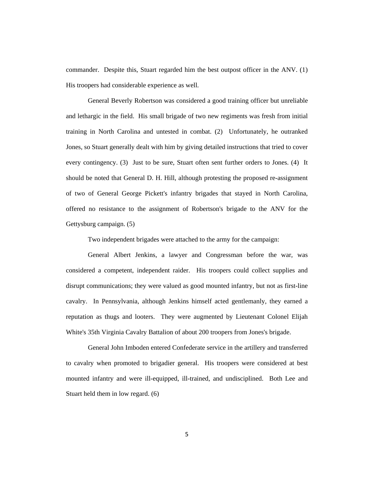commander. Despite this, Stuart regarded him the best outpost officer in the ANV. (1) His troopers had considerable experience as well.

General Beverly Robertson was considered a good training officer but unreliable and lethargic in the field. His small brigade of two new regiments was fresh from initial training in North Carolina and untested in combat. (2) Unfortunately, he outranked Jones, so Stuart generally dealt with him by giving detailed instructions that tried to cover every contingency. (3) Just to be sure, Stuart often sent further orders to Jones. (4) It should be noted that General D. H. Hill, although protesting the proposed re-assignment of two of General George Pickett's infantry brigades that stayed in North Carolina, offered no resistance to the assignment of Robertson's brigade to the ANV for the Gettysburg campaign. (5)

Two independent brigades were attached to the army for the campaign:

General Albert Jenkins, a lawyer and Congressman before the war, was considered a competent, independent raider. His troopers could collect supplies and disrupt communications; they were valued as good mounted infantry, but not as first-line cavalry. In Pennsylvania, although Jenkins himself acted gentlemanly, they earned a reputation as thugs and looters. They were augmented by Lieutenant Colonel Elijah White's 35th Virginia Cavalry Battalion of about 200 troopers from Jones's brigade.

General John Imboden entered Confederate service in the artillery and transferred to cavalry when promoted to brigadier general. His troopers were considered at best mounted infantry and were ill-equipped, ill-trained, and undisciplined. Both Lee and Stuart held them in low regard. (6)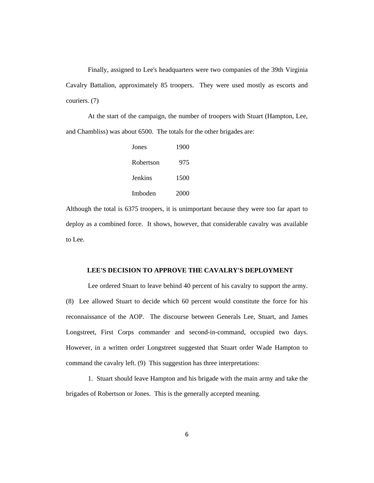Finally, assigned to Lee's headquarters were two companies of the 39th Virginia Cavalry Battalion, approximately 85 troopers. They were used mostly as escorts and couriers. (7)

At the start of the campaign, the number of troopers with Stuart (Hampton, Lee, and Chambliss) was about 6500. The totals for the other brigades are:

| Jones     | 1900 |
|-----------|------|
| Robertson | 975  |
| Jenkins   | 1500 |
| Imboden   | 2000 |

Although the total is 6375 troopers, it is unimportant because they were too far apart to deploy as a combined force. It shows, however, that considerable cavalry was available to Lee.

### **LEE'S DECISION TO APPROVE THE CAVALRY'S DEPLOYMENT**

Lee ordered Stuart to leave behind 40 percent of his cavalry to support the army. (8) Lee allowed Stuart to decide which 60 percent would constitute the force for his reconnaissance of the AOP. The discourse between Generals Lee, Stuart, and James Longstreet, First Corps commander and second-in-command, occupied two days. However, in a written order Longstreet suggested that Stuart order Wade Hampton to command the cavalry left. (9) This suggestion has three interpretations:

1. Stuart should leave Hampton and his brigade with the main army and take the brigades of Robertson or Jones. This is the generally accepted meaning.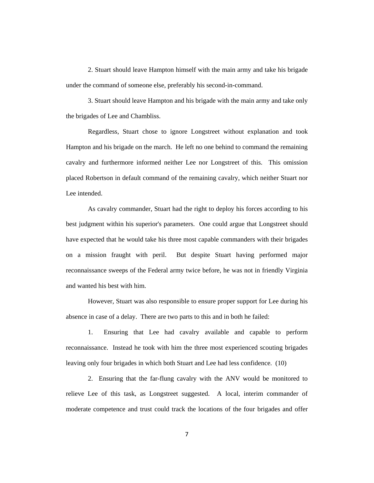2. Stuart should leave Hampton himself with the main army and take his brigade under the command of someone else, preferably his second-in-command.

3. Stuart should leave Hampton and his brigade with the main army and take only the brigades of Lee and Chambliss.

Regardless, Stuart chose to ignore Longstreet without explanation and took Hampton and his brigade on the march. He left no one behind to command the remaining cavalry and furthermore informed neither Lee nor Longstreet of this. This omission placed Robertson in default command of the remaining cavalry, which neither Stuart nor Lee intended.

As cavalry commander, Stuart had the right to deploy his forces according to his best judgment within his superior's parameters. One could argue that Longstreet should have expected that he would take his three most capable commanders with their brigades on a mission fraught with peril. But despite Stuart having performed major reconnaissance sweeps of the Federal army twice before, he was not in friendly Virginia and wanted his best with him.

However, Stuart was also responsible to ensure proper support for Lee during his absence in case of a delay. There are two parts to this and in both he failed:

1. Ensuring that Lee had cavalry available and capable to perform reconnaissance. Instead he took with him the three most experienced scouting brigades leaving only four brigades in which both Stuart and Lee had less confidence. (10)

2. Ensuring that the far-flung cavalry with the ANV would be monitored to relieve Lee of this task, as Longstreet suggested. A local, interim commander of moderate competence and trust could track the locations of the four brigades and offer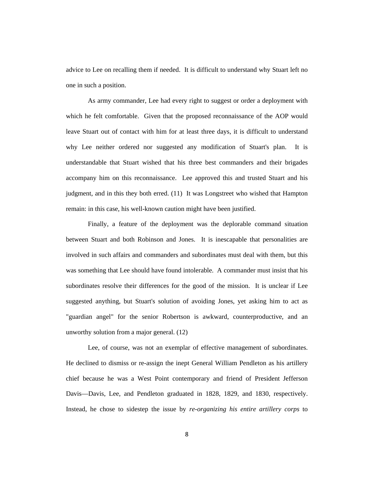advice to Lee on recalling them if needed. It is difficult to understand why Stuart left no one in such a position.

As army commander, Lee had every right to suggest or order a deployment with which he felt comfortable. Given that the proposed reconnaissance of the AOP would leave Stuart out of contact with him for at least three days, it is difficult to understand why Lee neither ordered nor suggested any modification of Stuart's plan. It is understandable that Stuart wished that his three best commanders and their brigades accompany him on this reconnaissance. Lee approved this and trusted Stuart and his judgment, and in this they both erred. (11) It was Longstreet who wished that Hampton remain: in this case, his well-known caution might have been justified.

Finally, a feature of the deployment was the deplorable command situation between Stuart and both Robinson and Jones. It is inescapable that personalities are involved in such affairs and commanders and subordinates must deal with them, but this was something that Lee should have found intolerable. A commander must insist that his subordinates resolve their differences for the good of the mission. It is unclear if Lee suggested anything, but Stuart's solution of avoiding Jones, yet asking him to act as "guardian angel" for the senior Robertson is awkward, counterproductive, and an unworthy solution from a major general. (12)

Lee, of course, was not an exemplar of effective management of subordinates. He declined to dismiss or re-assign the inept General William Pendleton as his artillery chief because he was a West Point contemporary and friend of President Jefferson Davis—Davis, Lee, and Pendleton graduated in 1828, 1829, and 1830, respectively. Instead, he chose to sidestep the issue by *re-organizing his entire artillery corps* to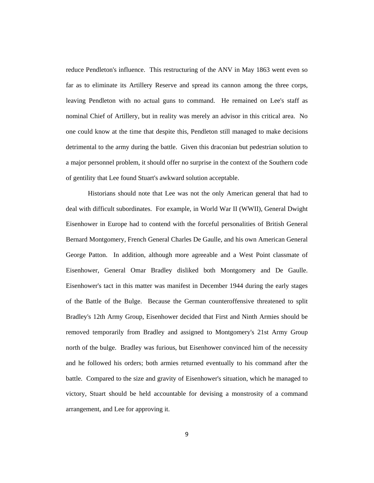reduce Pendleton's influence. This restructuring of the ANV in May 1863 went even so far as to eliminate its Artillery Reserve and spread its cannon among the three corps, leaving Pendleton with no actual guns to command. He remained on Lee's staff as nominal Chief of Artillery, but in reality was merely an advisor in this critical area. No one could know at the time that despite this, Pendleton still managed to make decisions detrimental to the army during the battle. Given this draconian but pedestrian solution to a major personnel problem, it should offer no surprise in the context of the Southern code of gentility that Lee found Stuart's awkward solution acceptable.

Historians should note that Lee was not the only American general that had to deal with difficult subordinates. For example, in World War II (WWII), General Dwight Eisenhower in Europe had to contend with the forceful personalities of British General Bernard Montgomery, French General Charles De Gaulle, and his own American General George Patton. In addition, although more agreeable and a West Point classmate of Eisenhower, General Omar Bradley disliked both Montgomery and De Gaulle. Eisenhower's tact in this matter was manifest in December 1944 during the early stages of the Battle of the Bulge. Because the German counteroffensive threatened to split Bradley's 12th Army Group, Eisenhower decided that First and Ninth Armies should be removed temporarily from Bradley and assigned to Montgomery's 21st Army Group north of the bulge. Bradley was furious, but Eisenhower convinced him of the necessity and he followed his orders; both armies returned eventually to his command after the battle. Compared to the size and gravity of Eisenhower's situation, which he managed to victory, Stuart should be held accountable for devising a monstrosity of a command arrangement, and Lee for approving it.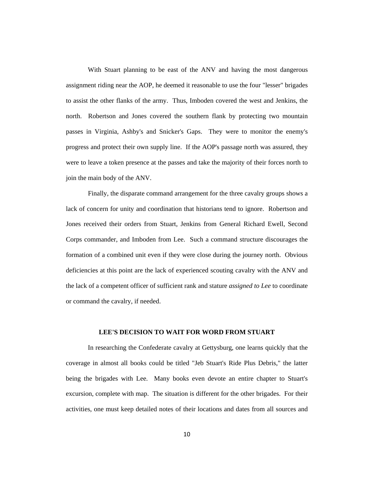With Stuart planning to be east of the ANV and having the most dangerous assignment riding near the AOP, he deemed it reasonable to use the four "lesser" brigades to assist the other flanks of the army. Thus, Imboden covered the west and Jenkins, the north. Robertson and Jones covered the southern flank by protecting two mountain passes in Virginia, Ashby's and Snicker's Gaps. They were to monitor the enemy's progress and protect their own supply line. If the AOP's passage north was assured, they were to leave a token presence at the passes and take the majority of their forces north to join the main body of the ANV.

Finally, the disparate command arrangement for the three cavalry groups shows a lack of concern for unity and coordination that historians tend to ignore. Robertson and Jones received their orders from Stuart, Jenkins from General Richard Ewell, Second Corps commander, and Imboden from Lee. Such a command structure discourages the formation of a combined unit even if they were close during the journey north. Obvious deficiencies at this point are the lack of experienced scouting cavalry with the ANV and the lack of a competent officer of sufficient rank and stature *assigned to Lee* to coordinate or command the cavalry, if needed.

## **LEE'S DECISION TO WAIT FOR WORD FROM STUART**

In researching the Confederate cavalry at Gettysburg, one learns quickly that the coverage in almost all books could be titled "Jeb Stuart's Ride Plus Debris," the latter being the brigades with Lee. Many books even devote an entire chapter to Stuart's excursion, complete with map. The situation is different for the other brigades. For their activities, one must keep detailed notes of their locations and dates from all sources and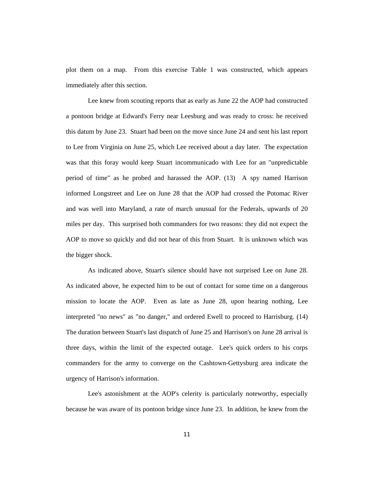plot them on a map. From this exercise Table 1 was constructed, which appears immediately after this section.

Lee knew from scouting reports that as early as June 22 the AOP had constructed a pontoon bridge at Edward's Ferry near Leesburg and was ready to cross: he received this datum by June 23. Stuart had been on the move since June 24 and sent his last report to Lee from Virginia on June 25, which Lee received about a day later. The expectation was that this foray would keep Stuart incommunicado with Lee for an "unpredictable period of time" as he probed and harassed the AOP. (13) A spy named Harrison informed Longstreet and Lee on June 28 that the AOP had crossed the Potomac River and was well into Maryland, a rate of march unusual for the Federals, upwards of 20 miles per day. This surprised both commanders for two reasons: they did not expect the AOP to move so quickly and did not hear of this from Stuart. It is unknown which was the bigger shock.

As indicated above, Stuart's silence should have not surprised Lee on June 28. As indicated above, he expected him to be out of contact for some time on a dangerous mission to locate the AOP. Even as late as June 28, upon hearing nothing, Lee interpreted "no news" as "no danger," and ordered Ewell to proceed to Harrisburg. (14) The duration between Stuart's last dispatch of June 25 and Harrison's on June 28 arrival is three days, within the limit of the expected outage. Lee's quick orders to his corps commanders for the army to converge on the Cashtown-Gettysburg area indicate the urgency of Harrison's information.

Lee's astonishment at the AOP's celerity is particularly noteworthy, especially because he was aware of its pontoon bridge since June 23. In addition, he knew from the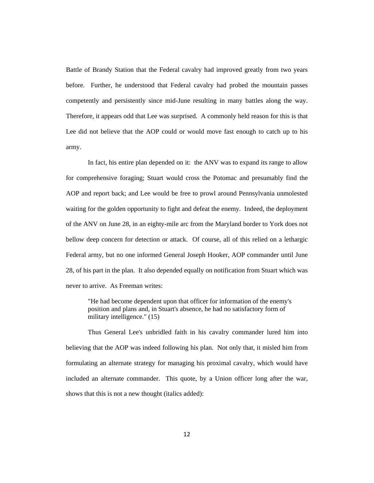Battle of Brandy Station that the Federal cavalry had improved greatly from two years before. Further, he understood that Federal cavalry had probed the mountain passes competently and persistently since mid-June resulting in many battles along the way. Therefore, it appears odd that Lee was surprised. A commonly held reason for this is that Lee did not believe that the AOP could or would move fast enough to catch up to his army.

In fact, his entire plan depended on it: the ANV was to expand its range to allow for comprehensive foraging; Stuart would cross the Potomac and presumably find the AOP and report back; and Lee would be free to prowl around Pennsylvania unmolested waiting for the golden opportunity to fight and defeat the enemy. Indeed, the deployment of the ANV on June 28, in an eighty-mile arc from the Maryland border to York does not bellow deep concern for detection or attack. Of course, all of this relied on a lethargic Federal army, but no one informed General Joseph Hooker, AOP commander until June 28, of his part in the plan. It also depended equally on notification from Stuart which was never to arrive. As Freeman writes:

"He had become dependent upon that officer for information of the enemy's position and plans and, in Stuart's absence, he had no satisfactory form of military intelligence." (15)

Thus General Lee's unbridled faith in his cavalry commander lured him into believing that the AOP was indeed following his plan. Not only that, it misled him from formulating an alternate strategy for managing his proximal cavalry, which would have included an alternate commander. This quote, by a Union officer long after the war, shows that this is not a new thought (italics added):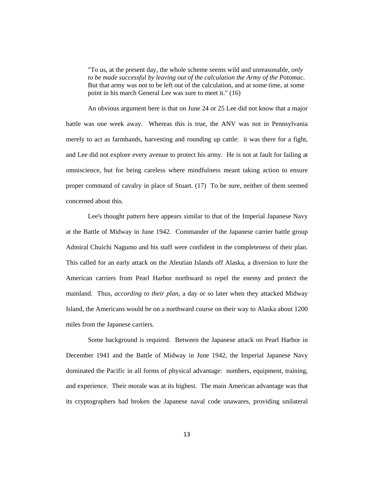"To us, at the present day, the whole scheme seems wild and unreasonable, *only to be made successful by leaving out of the calculation the Army of the Potomac*. But that army was not to be left out of the calculation, and at some time, at some point in his march General Lee was sure to meet it." (16)

An obvious argument here is that on June 24 or 25 Lee did not know that a major battle was one week away. Whereas this is true, the ANV was not in Pennsylvania merely to act as farmhands, harvesting and rounding up cattle: it was there for a fight, and Lee did not explore every avenue to protect his army. He is not at fault for failing at omniscience, but for being careless where mindfulness meant taking action to ensure proper command of cavalry in place of Stuart. (17) To be sure, neither of them seemed concerned about this.

Lee's thought pattern here appears similar to that of the Imperial Japanese Navy at the Battle of Midway in June 1942. Commander of the Japanese carrier battle group Admiral Chuichi Nagumo and his staff were confident in the completeness of their plan. This called for an early attack on the Aleutian Islands off Alaska, a diversion to lure the American carriers from Pearl Harbor northward to repel the enemy and protect the mainland. Thus, *according to their plan*, a day or so later when they attacked Midway Island, the Americans would be on a northward course on their way to Alaska about 1200 miles from the Japanese carriers.

Some background is required. Between the Japanese attack on Pearl Harbor in December 1941 and the Battle of Midway in June 1942, the Imperial Japanese Navy dominated the Pacific in all forms of physical advantage: numbers, equipment, training, and experience. Their morale was at its highest. The main American advantage was that its cryptographers had broken the Japanese naval code unawares, providing unilateral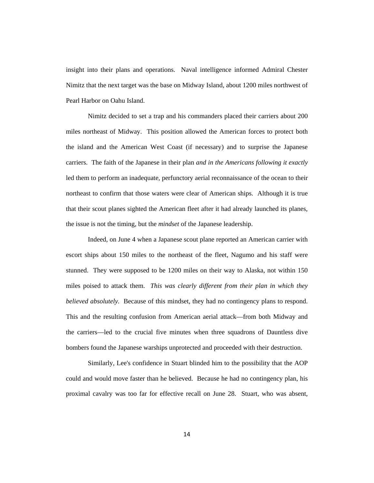insight into their plans and operations. Naval intelligence informed Admiral Chester Nimitz that the next target was the base on Midway Island, about 1200 miles northwest of Pearl Harbor on Oahu Island.

Nimitz decided to set a trap and his commanders placed their carriers about 200 miles northeast of Midway. This position allowed the American forces to protect both the island and the American West Coast (if necessary) and to surprise the Japanese carriers. The faith of the Japanese in their plan *and in the Americans following it exactly* led them to perform an inadequate, perfunctory aerial reconnaissance of the ocean to their northeast to confirm that those waters were clear of American ships. Although it is true that their scout planes sighted the American fleet after it had already launched its planes, the issue is not the timing, but the *mindset* of the Japanese leadership.

Indeed, on June 4 when a Japanese scout plane reported an American carrier with escort ships about 150 miles to the northeast of the fleet, Nagumo and his staff were stunned. They were supposed to be 1200 miles on their way to Alaska, not within 150 miles poised to attack them. *This was clearly different from their plan in which they believed absolutely.* Because of this mindset, they had no contingency plans to respond. This and the resulting confusion from American aerial attack—from both Midway and the carriers—led to the crucial five minutes when three squadrons of Dauntless dive bombers found the Japanese warships unprotected and proceeded with their destruction.

Similarly, Lee's confidence in Stuart blinded him to the possibility that the AOP could and would move faster than he believed. Because he had no contingency plan, his proximal cavalry was too far for effective recall on June 28. Stuart, who was absent,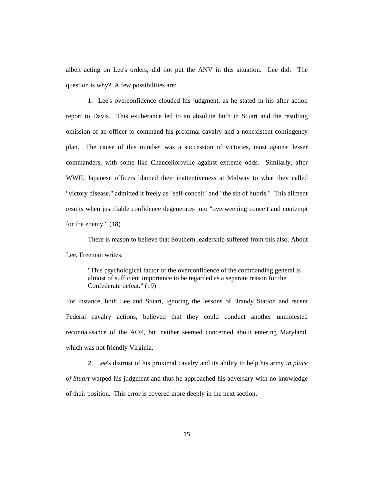albeit acting on Lee's orders, did not put the ANV in this situation. Lee did. The question is why? A few possibilities are:

1. Lee's overconfidence clouded his judgment, as he stated in his after action report to Davis. This exuberance led to an absolute faith in Stuart and the resulting omission of an officer to command his proximal cavalry and a nonexistent contingency plan. The cause of this mindset was a succession of victories, most against lesser commanders, with some like Chancellorsville against extreme odds. Similarly, after WWII, Japanese officers blamed their inattentiveness at Midway to what they called "victory disease," admitted it freely as "self-conceit" and "the sin of hubris." This ailment results when justifiable confidence degenerates into "overweening conceit and contempt for the enemy." (18)

There is reason to believe that Southern leadership suffered from this also. About Lee, Freeman writes:

"This psychological factor of the overconfidence of the commanding general is almost of sufficient importance to be regarded as a separate reason for the Confederate defeat." (19)

For instance, both Lee and Stuart, ignoring the lessons of Brandy Station and recent Federal cavalry actions, believed that they could conduct another unmolested reconnaissance of the AOP, but neither seemed concerned about entering Maryland, which was not friendly Virginia.

2. Lee's distrust of his proximal cavalry and its ability to help his army *in place of Stuart* warped his judgment and thus he approached his adversary with no knowledge of their position. This error is covered more deeply in the next section.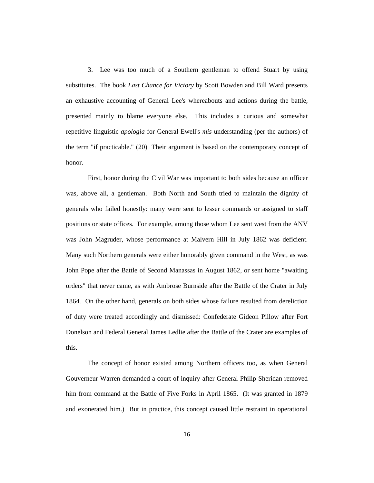3. Lee was too much of a Southern gentleman to offend Stuart by using substitutes. The book *Last Chance for Victory* by Scott Bowden and Bill Ward presents an exhaustive accounting of General Lee's whereabouts and actions during the battle, presented mainly to blame everyone else. This includes a curious and somewhat repetitive linguistic *apologia* for General Ewell's *mis*-understanding (per the authors) of the term "if practicable." (20) Their argument is based on the contemporary concept of honor.

First, honor during the Civil War was important to both sides because an officer was, above all, a gentleman. Both North and South tried to maintain the dignity of generals who failed honestly: many were sent to lesser commands or assigned to staff positions or state offices. For example, among those whom Lee sent west from the ANV was John Magruder, whose performance at Malvern Hill in July 1862 was deficient. Many such Northern generals were either honorably given command in the West, as was John Pope after the Battle of Second Manassas in August 1862, or sent home "awaiting orders" that never came, as with Ambrose Burnside after the Battle of the Crater in July 1864. On the other hand, generals on both sides whose failure resulted from dereliction of duty were treated accordingly and dismissed: Confederate Gideon Pillow after Fort Donelson and Federal General James Ledlie after the Battle of the Crater are examples of this.

The concept of honor existed among Northern officers too, as when General Gouverneur Warren demanded a court of inquiry after General Philip Sheridan removed him from command at the Battle of Five Forks in April 1865. (It was granted in 1879 and exonerated him.) But in practice, this concept caused little restraint in operational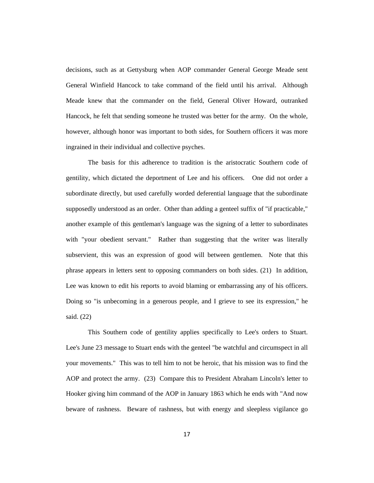decisions, such as at Gettysburg when AOP commander General George Meade sent General Winfield Hancock to take command of the field until his arrival. Although Meade knew that the commander on the field, General Oliver Howard, outranked Hancock, he felt that sending someone he trusted was better for the army. On the whole, however, although honor was important to both sides, for Southern officers it was more ingrained in their individual and collective psyches.

The basis for this adherence to tradition is the aristocratic Southern code of gentility, which dictated the deportment of Lee and his officers. One did not order a subordinate directly, but used carefully worded deferential language that the subordinate supposedly understood as an order. Other than adding a genteel suffix of "if practicable," another example of this gentleman's language was the signing of a letter to subordinates with "your obedient servant." Rather than suggesting that the writer was literally subservient, this was an expression of good will between gentlemen. Note that this phrase appears in letters sent to opposing commanders on both sides. (21) In addition, Lee was known to edit his reports to avoid blaming or embarrassing any of his officers. Doing so "is unbecoming in a generous people, and I grieve to see its expression," he said. (22)

This Southern code of gentility applies specifically to Lee's orders to Stuart. Lee's June 23 message to Stuart ends with the genteel "be watchful and circumspect in all your movements." This was to tell him to not be heroic, that his mission was to find the AOP and protect the army. (23) Compare this to President Abraham Lincoln's letter to Hooker giving him command of the AOP in January 1863 which he ends with "And now beware of rashness. Beware of rashness, but with energy and sleepless vigilance go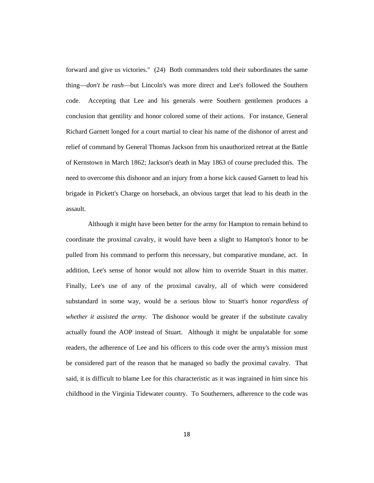forward and give us victories." (24) Both commanders told their subordinates the same thing—*don't be rash*—but Lincoln's was more direct and Lee's followed the Southern code. Accepting that Lee and his generals were Southern gentlemen produces a conclusion that gentility and honor colored some of their actions. For instance, General Richard Garnett longed for a court martial to clear his name of the dishonor of arrest and relief of command by General Thomas Jackson from his unauthorized retreat at the Battle of Kernstown in March 1862; Jackson's death in May 1863 of course precluded this. The need to overcome this dishonor and an injury from a horse kick caused Garnett to lead his brigade in Pickett's Charge on horseback, an obvious target that lead to his death in the assault.

Although it might have been better for the army for Hampton to remain behind to coordinate the proximal cavalry, it would have been a slight to Hampton's honor to be pulled from his command to perform this necessary, but comparative mundane, act. In addition, Lee's sense of honor would not allow him to override Stuart in this matter. Finally, Lee's use of any of the proximal cavalry, all of which were considered substandard in some way, would be a serious blow to Stuart's honor *regardless of whether it assisted the army*. The dishonor would be greater if the substitute cavalry actually found the AOP instead of Stuart. Although it might be unpalatable for some readers, the adherence of Lee and his officers to this code over the army's mission must be considered part of the reason that he managed so badly the proximal cavalry. That said, it is difficult to blame Lee for this characteristic as it was ingrained in him since his childhood in the Virginia Tidewater country. To Southerners, adherence to the code was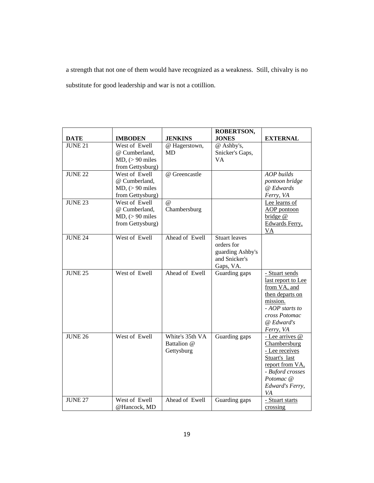a strength that not one of them would have recognized as a weakness. Still, chivalry is no substitute for good leadership and war is not a cotillion.

| <b>DATE</b>    | <b>IMBODEN</b>                                                         | <b>JENKINS</b>                               | <b>ROBERTSON,</b><br><b>JONES</b>                                                    | <b>EXTERNAL</b>                                                                                                                                      |
|----------------|------------------------------------------------------------------------|----------------------------------------------|--------------------------------------------------------------------------------------|------------------------------------------------------------------------------------------------------------------------------------------------------|
| <b>JUNE 21</b> | West of Ewell<br>@ Cumberland,<br>$MD, (>90$ miles<br>from Gettysburg) | @ Hagerstown,<br><b>MD</b>                   | @ Ashby's,<br>Snicker's Gaps,<br>VA                                                  |                                                                                                                                                      |
| <b>JUNE 22</b> | West of Ewell<br>@ Cumberland,<br>$MD, (>90$ miles<br>from Gettysburg) | @ Greencastle                                |                                                                                      | AOP builds<br>pontoon bridge<br>@ Edwards<br>Ferry, VA                                                                                               |
| <b>JUNE 23</b> | West of Ewell<br>@ Cumberland,<br>$MD, (>90$ miles<br>from Gettysburg) | $\omega$<br>Chambersburg                     |                                                                                      | Lee learns of<br><b>AOP</b> pontoon<br>bridge @<br>Edwards Ferry,<br><u>VA</u>                                                                       |
| <b>JUNE 24</b> | West of Ewell                                                          | Ahead of Ewell                               | <b>Stuart leaves</b><br>orders for<br>guarding Ashby's<br>and Snicker's<br>Gaps, VA. |                                                                                                                                                      |
| <b>JUNE 25</b> | West of Ewell                                                          | Ahead of Ewell                               | Guarding gaps                                                                        | - Stuart sends<br>last report to Lee<br>from VA, and<br>then departs on<br>mission.<br>$- AOP$ starts to<br>cross Potomac<br>@ Edward's<br>Ferry, VA |
| <b>JUNE 26</b> | West of Ewell                                                          | White's 35th VA<br>Battalion @<br>Gettysburg | Guarding gaps                                                                        | - Lee arrives @<br>Chambersburg<br>- Lee receives<br>Stuart's last<br>report from VA,<br>- Buford crosses<br>Potomac @<br>Edward's Ferry,<br>VA      |
| <b>JUNE 27</b> | West of Ewell<br>@Hancock. MD                                          | Ahead of Ewell                               | Guarding gaps                                                                        | - Stuart starts<br>crossing                                                                                                                          |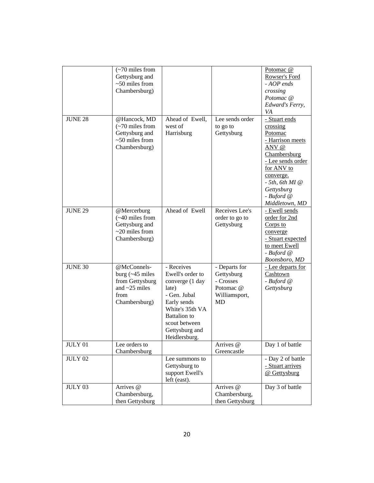|                | $\left(\sim 70 \text{ miles from}\right)$<br>Gettysburg and<br>$~50$ miles from<br>Chambersburg)                 |                                                                                                                                                                                        |                                                                              | Potomac <sub>@</sub><br>Rowser's Ford<br>- AOP ends<br>crossing<br>Potomac @<br>Edward's Ferry,<br>VA                                                                                                  |
|----------------|------------------------------------------------------------------------------------------------------------------|----------------------------------------------------------------------------------------------------------------------------------------------------------------------------------------|------------------------------------------------------------------------------|--------------------------------------------------------------------------------------------------------------------------------------------------------------------------------------------------------|
| <b>JUNE 28</b> | @Hancock, MD<br>$\left(\sim 70 \text{ miles from}\right)$<br>Gettysburg and<br>$~50$ miles from<br>Chambersburg) | Ahead of Ewell,<br>west of<br>Harrisburg                                                                                                                                               | Lee sends order<br>to go to<br>Gettysburg                                    | - Stuart ends<br>crossing<br>Potomac<br>- Harrison meets<br>ANV @<br>Chambersburg<br>- Lee sends order<br>for ANV to<br>converge.<br>$-5th$ , 6th MI $@$<br>Gettysburg<br>- Buford @<br>Middletown, MD |
| <b>JUNE 29</b> | @Mercerburg<br>$(-40$ miles from<br>Gettysburg and<br>$\sim$ 20 miles from<br>Chambersburg)                      | Ahead of Ewell                                                                                                                                                                         | Receives Lee's<br>order to go to<br>Gettysburg                               | - Ewell sends<br>order for 2nd<br>Corps to<br>converge<br>- Stuart expected<br>to meet Ewell<br>- Buford @<br>Boonsboro, MD                                                                            |
| JUNE 30        | @McConnels-<br>burg $(-45 \text{ miles})$<br>from Gettysburg<br>and $\sim$ 25 miles<br>from<br>Chambersburg)     | - Receives<br>Ewell's order to<br>converge (1 day<br>late)<br>- Gen. Jubal<br>Early sends<br>White's 35th VA<br><b>Battalion</b> to<br>scout between<br>Gettysburg and<br>Heidlersburg | - Departs for<br>Gettysburg<br>- Crosses<br>Potomac @<br>Williamsport,<br>MD | - Lee departs for<br>Cashtown<br>- Buford @<br>Gettysburg                                                                                                                                              |
| JULY 01        | Lee orders to<br>Chambersburg                                                                                    |                                                                                                                                                                                        | Arrives @<br>Greencastle                                                     | Day 1 of battle                                                                                                                                                                                        |
| <b>JULY 02</b> |                                                                                                                  | Lee summons to<br>Gettysburg to<br>support Ewell's<br>left (east).                                                                                                                     |                                                                              | - Day 2 of battle<br>- Stuart arrives<br>@ Gettysburg                                                                                                                                                  |
| JULY 03        | Arrives @<br>Chambersburg,<br>then Gettysburg                                                                    |                                                                                                                                                                                        | Arrives @<br>Chambersburg,<br>then Gettysburg                                | Day 3 of battle                                                                                                                                                                                        |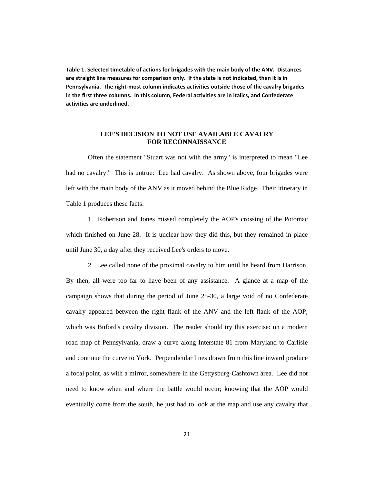**Table 1. Selected timetable of actions for brigades with the main body of the ANV. Distances are straight line measures for comparison only. If the state is not indicated, then it is in Pennsylvania. The right-most column indicates activities outside those of the cavalry brigades in the first three columns. In this column, Federal activities are in italics, and Confederate activities are underlined.**

## **LEE'S DECISION TO NOT USE AVAILABLE CAVALRY FOR RECONNAISSANCE**

Often the statement "Stuart was not with the army" is interpreted to mean "Lee had no cavalry." This is untrue: Lee had cavalry. As shown above, four brigades were left with the main body of the ANV as it moved behind the Blue Ridge. Their itinerary in Table 1 produces these facts:

1. Robertson and Jones missed completely the AOP's crossing of the Potomac which finished on June 28. It is unclear how they did this, but they remained in place until June 30, a day after they received Lee's orders to move.

2. Lee called none of the proximal cavalry to him until he heard from Harrison. By then, all were too far to have been of any assistance. A glance at a map of the campaign shows that during the period of June 25-30, a large void of no Confederate cavalry appeared between the right flank of the ANV and the left flank of the AOP, which was Buford's cavalry division. The reader should try this exercise: on a modern road map of Pennsylvania, draw a curve along Interstate 81 from Maryland to Carlisle and continue the curve to York. Perpendicular lines drawn from this line inward produce a focal point, as with a mirror, somewhere in the Gettysburg-Cashtown area. Lee did not need to know when and where the battle would occur; knowing that the AOP would eventually come from the south, he just had to look at the map and use any cavalry that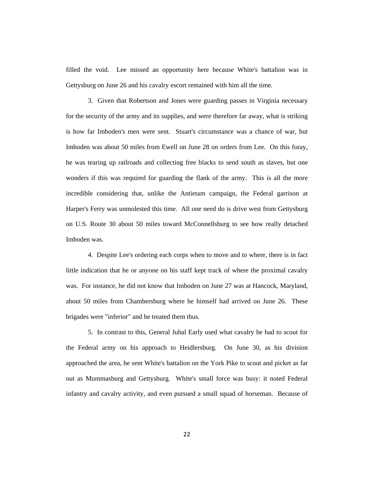filled the void. Lee missed an opportunity here because White's battalion was in Gettysburg on June 26 and his cavalry escort remained with him all the time.

3. Given that Robertson and Jones were guarding passes in Virginia necessary for the security of the army and its supplies, and were therefore far away, what is striking is how far Imboden's men were sent. Stuart's circumstance was a chance of war, but Imboden was about 50 miles from Ewell on June 28 on orders from Lee. On this foray, he was tearing up railroads and collecting free blacks to send south as slaves, but one wonders if this was required for guarding the flank of the army. This is all the more incredible considering that, unlike the Antietam campaign, the Federal garrison at Harper's Ferry was unmolested this time. All one need do is drive west from Gettysburg on U.S. Route 30 about 50 miles toward McConnellsburg to see how really detached Imboden was.

4. Despite Lee's ordering each corps when to move and to where, there is in fact little indication that he or anyone on his staff kept track of where the proximal cavalry was. For instance, he did not know that Imboden on June 27 was at Hancock, Maryland, about 50 miles from Chambersburg where he himself had arrived on June 26. These brigades were "inferior" and he treated them thus.

5. In contrast to this, General Jubal Early used what cavalry he had to scout for the Federal army on his approach to Heidlersburg. On June 30, as his division approached the area, he sent White's battalion on the York Pike to scout and picket as far out as Mummasburg and Gettysburg. White's small force was busy: it noted Federal infantry and cavalry activity, and even pursued a small squad of horseman. Because of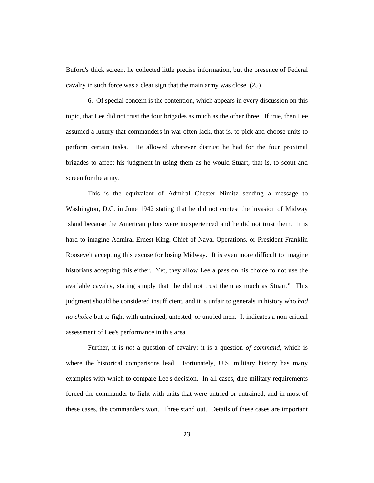Buford's thick screen, he collected little precise information, but the presence of Federal cavalry in such force was a clear sign that the main army was close. (25)

6. Of special concern is the contention, which appears in every discussion on this topic, that Lee did not trust the four brigades as much as the other three. If true, then Lee assumed a luxury that commanders in war often lack, that is, to pick and choose units to perform certain tasks. He allowed whatever distrust he had for the four proximal brigades to affect his judgment in using them as he would Stuart, that is, to scout and screen for the army.

This is the equivalent of Admiral Chester Nimitz sending a message to Washington, D.C. in June 1942 stating that he did not contest the invasion of Midway Island because the American pilots were inexperienced and he did not trust them. It is hard to imagine Admiral Ernest King, Chief of Naval Operations, or President Franklin Roosevelt accepting this excuse for losing Midway. It is even more difficult to imagine historians accepting this either. Yet, they allow Lee a pass on his choice to not use the available cavalry, stating simply that "he did not trust them as much as Stuart." This judgment should be considered insufficient, and it is unfair to generals in history who *had no choice* but to fight with untrained, untested, or untried men. It indicates a non-critical assessment of Lee's performance in this area.

Further, it is *not* a question of cavalry: it is a question *of command*, which is where the historical comparisons lead. Fortunately, U.S. military history has many examples with which to compare Lee's decision. In all cases, dire military requirements forced the commander to fight with units that were untried or untrained, and in most of these cases, the commanders won. Three stand out. Details of these cases are important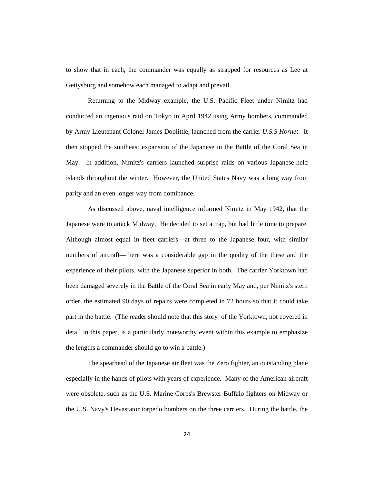to show that in each, the commander was equally as strapped for resources as Lee at Gettysburg and somehow each managed to adapt and prevail.

Returning to the Midway example, the U.S. Pacific Fleet under Nimitz had conducted an ingenious raid on Tokyo in April 1942 using Army bombers, commanded by Army Lieutenant Colonel James Doolittle, launched from the carrier *U.S.S Hornet*. It then stopped the southeast expansion of the Japanese in the Battle of the Coral Sea in May. In addition, Nimitz's carriers launched surprise raids on various Japanese-held islands throughout the winter. However, the United States Navy was a long way from parity and an even longer way from dominance.

As discussed above, naval intelligence informed Nimitz in May 1942, that the Japanese were to attack Midway. He decided to set a trap, but had little time to prepare. Although almost equal in fleet carriers—at three to the Japanese four, with similar numbers of aircraft—there was a considerable gap in the quality of the these and the experience of their pilots, with the Japanese superior in both. The carrier Yorktown had been damaged severely in the Battle of the Coral Sea in early May and, per Nimitz's stern order, the estimated 90 days of repairs were completed in 72 hours so that it could take part in the battle. (The reader should note that this story of the Yorktown, not covered in detail in this paper, is a particularly noteworthy event within this example to emphasize the lengths a commander should go to win a battle.)

The spearhead of the Japanese air fleet was the Zero fighter, an outstanding plane especially in the hands of pilots with years of experience. Many of the American aircraft were obsolete, such as the U.S. Marine Corps's Brewster Buffalo fighters on Midway or the U.S. Navy's Devastator torpedo bombers on the three carriers. During the battle, the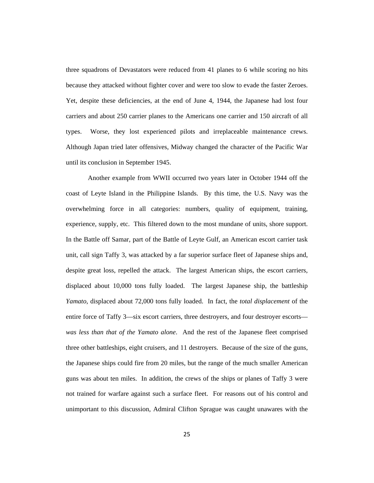three squadrons of Devastators were reduced from 41 planes to 6 while scoring no hits because they attacked without fighter cover and were too slow to evade the faster Zeroes. Yet, despite these deficiencies, at the end of June 4, 1944, the Japanese had lost four carriers and about 250 carrier planes to the Americans one carrier and 150 aircraft of all types. Worse, they lost experienced pilots and irreplaceable maintenance crews. Although Japan tried later offensives, Midway changed the character of the Pacific War until its conclusion in September 1945.

Another example from WWII occurred two years later in October 1944 off the coast of Leyte Island in the Philippine Islands. By this time, the U.S. Navy was the overwhelming force in all categories: numbers, quality of equipment, training, experience, supply, etc. This filtered down to the most mundane of units, shore support. In the Battle off Samar, part of the Battle of Leyte Gulf, an American escort carrier task unit, call sign Taffy 3, was attacked by a far superior surface fleet of Japanese ships and, despite great loss, repelled the attack. The largest American ships, the escort carriers, displaced about 10,000 tons fully loaded. The largest Japanese ship, the battleship *Yamato*, displaced about 72,000 tons fully loaded. In fact, the *total displacement* of the entire force of Taffy 3—six escort carriers, three destroyers, and four destroyer escorts *was less than that of the Yamato alone*. And the rest of the Japanese fleet comprised three other battleships, eight cruisers, and 11 destroyers. Because of the size of the guns, the Japanese ships could fire from 20 miles, but the range of the much smaller American guns was about ten miles. In addition, the crews of the ships or planes of Taffy 3 were not trained for warfare against such a surface fleet. For reasons out of his control and unimportant to this discussion, Admiral Clifton Sprague was caught unawares with the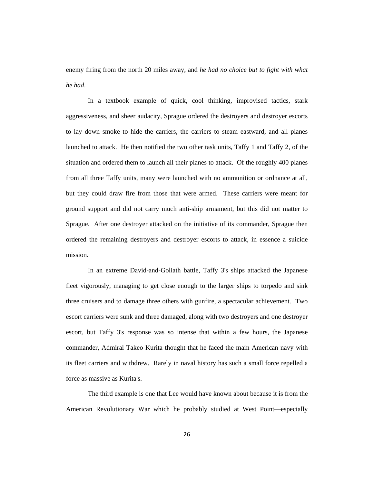enemy firing from the north 20 miles away, and *he had no choice but to fight with what he had*.

In a textbook example of quick, cool thinking, improvised tactics, stark aggressiveness, and sheer audacity, Sprague ordered the destroyers and destroyer escorts to lay down smoke to hide the carriers, the carriers to steam eastward, and all planes launched to attack. He then notified the two other task units, Taffy 1 and Taffy 2, of the situation and ordered them to launch all their planes to attack. Of the roughly 400 planes from all three Taffy units, many were launched with no ammunition or ordnance at all, but they could draw fire from those that were armed. These carriers were meant for ground support and did not carry much anti-ship armament, but this did not matter to Sprague. After one destroyer attacked on the initiative of its commander, Sprague then ordered the remaining destroyers and destroyer escorts to attack, in essence a suicide mission.

In an extreme David-and-Goliath battle, Taffy 3's ships attacked the Japanese fleet vigorously, managing to get close enough to the larger ships to torpedo and sink three cruisers and to damage three others with gunfire, a spectacular achievement. Two escort carriers were sunk and three damaged, along with two destroyers and one destroyer escort, but Taffy 3's response was so intense that within a few hours, the Japanese commander, Admiral Takeo Kurita thought that he faced the main American navy with its fleet carriers and withdrew. Rarely in naval history has such a small force repelled a force as massive as Kurita's.

The third example is one that Lee would have known about because it is from the American Revolutionary War which he probably studied at West Point—especially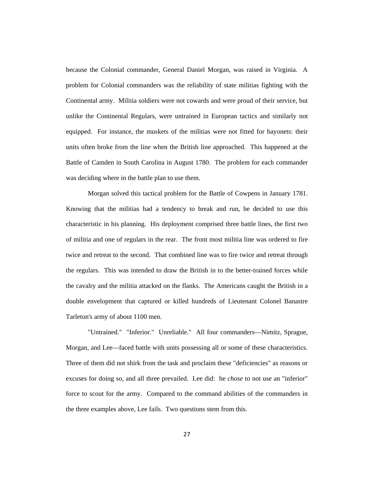because the Colonial commander, General Daniel Morgan, was raised in Virginia. A problem for Colonial commanders was the reliability of state militias fighting with the Continental army. Militia soldiers were not cowards and were proud of their service, but unlike the Continental Regulars, were untrained in European tactics and similarly not equipped. For instance, the muskets of the militias were not fitted for bayonets: their units often broke from the line when the British line approached. This happened at the Battle of Camden in South Carolina in August 1780. The problem for each commander was deciding where in the battle plan to use them.

Morgan solved this tactical problem for the Battle of Cowpens in January 1781. Knowing that the militias had a tendency to break and run, he decided to use this characteristic in his planning. His deployment comprised three battle lines, the first two of militia and one of regulars in the rear. The front most militia line was ordered to fire twice and retreat to the second. That combined line was to fire twice and retreat through the regulars. This was intended to draw the British in to the better-trained forces while the cavalry and the militia attacked on the flanks. The Americans caught the British in a double envelopment that captured or killed hundreds of Lieutenant Colonel Banastre Tarleton's army of about 1100 men.

"Untrained." "Inferior." Unreliable." All four commanders—Nimitz, Sprague, Morgan, and Lee—faced battle with units possessing all or some of these characteristics. Three of them did not shirk from the task and proclaim these "deficiencies" as reasons or excuses for doing so, and all three prevailed. Lee did: he *chose* to not use an "inferior" force to scout for the army. Compared to the command abilities of the commanders in the three examples above, Lee fails. Two questions stem from this.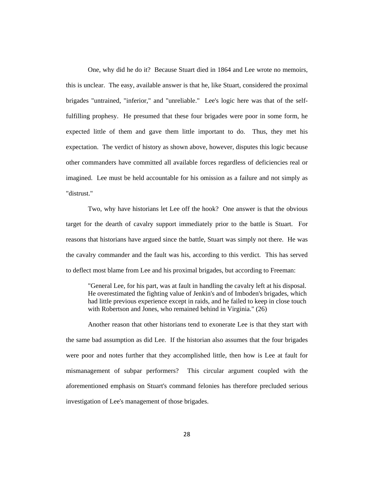One, why did he do it? Because Stuart died in 1864 and Lee wrote no memoirs, this is unclear. The easy, available answer is that he, like Stuart, considered the proximal brigades "untrained, "inferior," and "unreliable." Lee's logic here was that of the selffulfilling prophesy. He presumed that these four brigades were poor in some form, he expected little of them and gave them little important to do. Thus, they met his expectation. The verdict of history as shown above, however, disputes this logic because other commanders have committed all available forces regardless of deficiencies real or imagined. Lee must be held accountable for his omission as a failure and not simply as "distrust."

Two, why have historians let Lee off the hook? One answer is that the obvious target for the dearth of cavalry support immediately prior to the battle is Stuart. For reasons that historians have argued since the battle, Stuart was simply not there. He was the cavalry commander and the fault was his, according to this verdict. This has served to deflect most blame from Lee and his proximal brigades, but according to Freeman:

"General Lee, for his part, was at fault in handling the cavalry left at his disposal. He overestimated the fighting value of Jenkin's and of Imboden's brigades, which had little previous experience except in raids, and he failed to keep in close touch with Robertson and Jones, who remained behind in Virginia." (26)

Another reason that other historians tend to exonerate Lee is that they start with the same bad assumption as did Lee. If the historian also assumes that the four brigades were poor and notes further that they accomplished little, then how is Lee at fault for mismanagement of subpar performers? This circular argument coupled with the aforementioned emphasis on Stuart's command felonies has therefore precluded serious investigation of Lee's management of those brigades.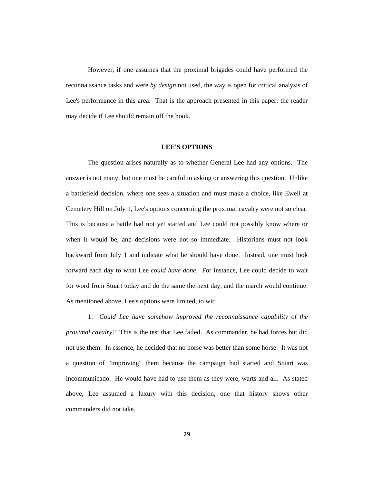However, if one assumes that the proximal brigades could have performed the reconnaissance tasks and were *by design* not used, the way is open for critical analysis of Lee's performance in this area. That is the approach presented in this paper: the reader may decide if Lee should remain off the hook.

#### **LEE'S OPTIONS**

The question arises naturally as to whether General Lee had any options. The answer is not many, but one must be careful in asking or answering this question. Unlike a battlefield decision, where one sees a situation and must make a choice, like Ewell at Cemetery Hill on July 1, Lee's options concerning the proximal cavalry were not so clear. This is because a battle had not yet started and Lee could not possibly know where or when it would be, and decisions were not so immediate. Historians must not look backward from July 1 and indicate what he should have done. Instead, one must look forward each day to what Lee *could have done*. For instance, Lee could decide to wait for word from Stuart today and do the same the next day, and the march would continue. As mentioned above, Lee's options were limited, to wit:

1. *Could Lee have somehow improved the reconnaissance capability of the proximal cavalry?* This is the test that Lee failed. As commander, he had forces but did not use them. In essence, he decided that no horse was better than some horse. It was not a question of "improving" them because the campaign had started and Stuart was incommunicado. He would have had to use them as they were, warts and all. As stated above, Lee assumed a luxury with this decision, one that history shows other commanders did not take.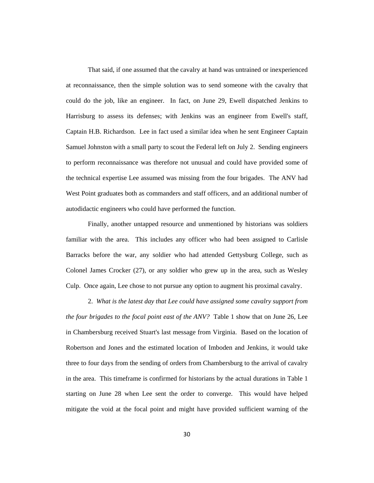That said, if one assumed that the cavalry at hand was untrained or inexperienced at reconnaissance, then the simple solution was to send someone with the cavalry that could do the job, like an engineer. In fact, on June 29, Ewell dispatched Jenkins to Harrisburg to assess its defenses; with Jenkins was an engineer from Ewell's staff, Captain H.B. Richardson. Lee in fact used a similar idea when he sent Engineer Captain Samuel Johnston with a small party to scout the Federal left on July 2. Sending engineers to perform reconnaissance was therefore not unusual and could have provided some of the technical expertise Lee assumed was missing from the four brigades. The ANV had West Point graduates both as commanders and staff officers, and an additional number of autodidactic engineers who could have performed the function.

Finally, another untapped resource and unmentioned by historians was soldiers familiar with the area. This includes any officer who had been assigned to Carlisle Barracks before the war, any soldier who had attended Gettysburg College, such as Colonel James Crocker (27), or any soldier who grew up in the area, such as Wesley Culp. Once again, Lee chose to not pursue any option to augment his proximal cavalry.

2. *What is the latest day that Lee could have assigned some cavalry support from the four brigades to the focal point east of the ANV?* Table 1 show that on June 26, Lee in Chambersburg received Stuart's last message from Virginia. Based on the location of Robertson and Jones and the estimated location of Imboden and Jenkins, it would take three to four days from the sending of orders from Chambersburg to the arrival of cavalry in the area. This timeframe is confirmed for historians by the actual durations in Table 1 starting on June 28 when Lee sent the order to converge. This would have helped mitigate the void at the focal point and might have provided sufficient warning of the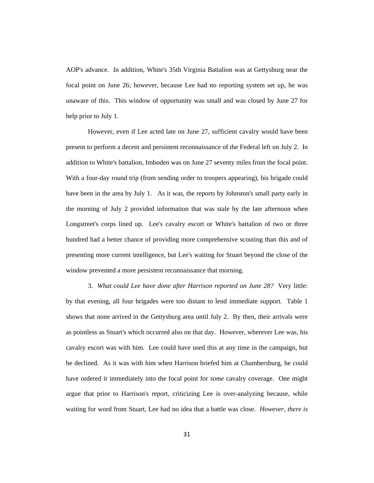AOP's advance. In addition, White's 35th Virginia Battalion was at Gettysburg near the focal point on June 26; however, because Lee had no reporting system set up, he was unaware of this. This window of opportunity was small and was closed by June 27 for help prior to July 1.

However, even if Lee acted late on June 27, sufficient cavalry would have been present to perform a decent and persistent reconnaissance of the Federal left on July 2. In addition to White's battalion, Imboden was on June 27 seventy miles from the focal point. With a four-day round trip (from sending order to troopers appearing), his brigade could have been in the area by July 1. As it was, the reports by Johnston's small party early in the morning of July 2 provided information that was stale by the late afternoon when Longstreet's corps lined up. Lee's cavalry escort or White's battalion of two or three hundred had a better chance of providing more comprehensive scouting than this and of presenting more current intelligence, but Lee's waiting for Stuart beyond the close of the window prevented a more persistent reconnaissance that morning.

3. *What could Lee have done after Harrison reported on June 28?* Very little: by that evening, all four brigades were too distant to lend immediate support. Table 1 shows that none arrived in the Gettysburg area until July 2. By then, their arrivals were as pointless as Stuart's which occurred also on that day. However, wherever Lee was, his cavalry escort was with him. Lee could have used this at any time in the campaign, but he declined. As it was with him when Harrison briefed him at Chambersburg, he could have ordered it immediately into the focal point for *some* cavalry coverage. One might argue that prior to Harrison's report, criticizing Lee is over-analyzing because, while waiting for word from Stuart, Lee had no idea that a battle was close. *However, there is*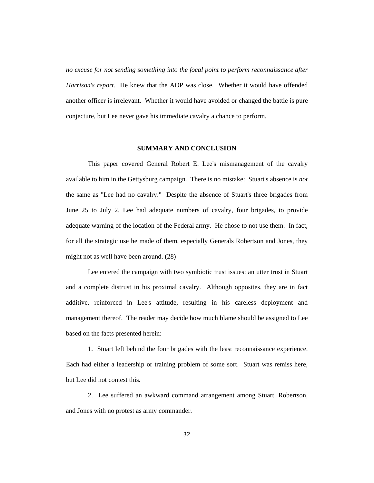*no excuse for not sending something into the focal point to perform reconnaissance after Harrison's report.* He knew that the AOP was close. Whether it would have offended another officer is irrelevant. Whether it would have avoided or changed the battle is pure conjecture, but Lee never gave his immediate cavalry a chance to perform.

#### **SUMMARY AND CONCLUSION**

This paper covered General Robert E. Lee's mismanagement of the cavalry available to him in the Gettysburg campaign. There is no mistake: Stuart's absence is *not* the same as "Lee had no cavalry." Despite the absence of Stuart's three brigades from June 25 to July 2, Lee had adequate numbers of cavalry, four brigades, to provide adequate warning of the location of the Federal army. He chose to not use them. In fact, for all the strategic use he made of them, especially Generals Robertson and Jones, they might not as well have been around. (28)

Lee entered the campaign with two symbiotic trust issues: an utter trust in Stuart and a complete distrust in his proximal cavalry. Although opposites, they are in fact additive, reinforced in Lee's attitude, resulting in his careless deployment and management thereof. The reader may decide how much blame should be assigned to Lee based on the facts presented herein:

1. Stuart left behind the four brigades with the least reconnaissance experience. Each had either a leadership or training problem of some sort. Stuart was remiss here, but Lee did not contest this.

2. Lee suffered an awkward command arrangement among Stuart, Robertson, and Jones with no protest as army commander.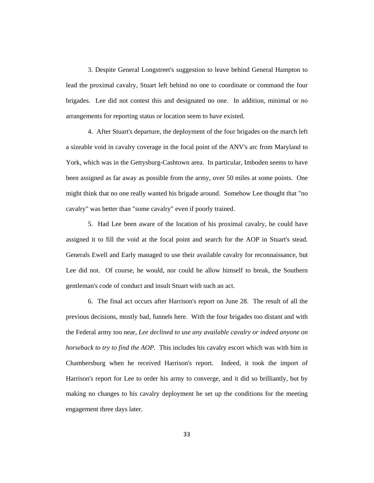3. Despite General Longstreet's suggestion to leave behind General Hampton to lead the proximal cavalry, Stuart left behind no one to coordinate or command the four brigades. Lee did not contest this and designated no one. In addition, minimal or no arrangements for reporting status or location seem to have existed.

4. After Stuart's departure, the deployment of the four brigades on the march left a sizeable void in cavalry coverage in the focal point of the ANV's arc from Maryland to York, which was in the Gettysburg-Cashtown area. In particular, Imboden seems to have been assigned as far away as possible from the army, over 50 miles at some points. One might think that no one really wanted his brigade around. Somehow Lee thought that "no cavalry" was better than "some cavalry" even if poorly trained.

5. Had Lee been aware of the location of his proximal cavalry, he could have assigned it to fill the void at the focal point and search for the AOP in Stuart's stead. Generals Ewell and Early managed to use their available cavalry for reconnaissance, but Lee did not. Of course, he would, nor could he allow himself to break, the Southern gentleman's code of conduct and insult Stuart with such an act.

6. The final act occurs after Harrison's report on June 28. The result of all the previous decisions, mostly bad, funnels here. With the four brigades too distant and with the Federal army too near, *Lee declined to use any available cavalry or indeed anyone on horseback to try to find the AOP.* This includes his cavalry escort which was with him in Chambersburg when he received Harrison's report. Indeed, it took the import of Harrison's report for Lee to order his army to converge, and it did so brilliantly, but by making no changes to his cavalry deployment he set up the conditions for the meeting engagement three days later.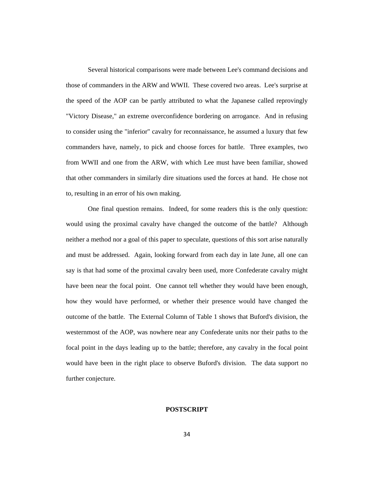Several historical comparisons were made between Lee's command decisions and those of commanders in the ARW and WWII. These covered two areas. Lee's surprise at the speed of the AOP can be partly attributed to what the Japanese called reprovingly "Victory Disease," an extreme overconfidence bordering on arrogance. And in refusing to consider using the "inferior" cavalry for reconnaissance, he assumed a luxury that few commanders have, namely, to pick and choose forces for battle. Three examples, two from WWII and one from the ARW, with which Lee must have been familiar, showed that other commanders in similarly dire situations used the forces at hand. He chose not to, resulting in an error of his own making.

One final question remains. Indeed, for some readers this is the only question: would using the proximal cavalry have changed the outcome of the battle? Although neither a method nor a goal of this paper to speculate, questions of this sort arise naturally and must be addressed. Again, looking forward from each day in late June, all one can say is that had some of the proximal cavalry been used, more Confederate cavalry might have been near the focal point. One cannot tell whether they would have been enough, how they would have performed, or whether their presence would have changed the outcome of the battle. The External Column of Table 1 shows that Buford's division, the westernmost of the AOP, was nowhere near any Confederate units nor their paths to the focal point in the days leading up to the battle; therefore, any cavalry in the focal point would have been in the right place to observe Buford's division. The data support no further conjecture.

# **POSTSCRIPT**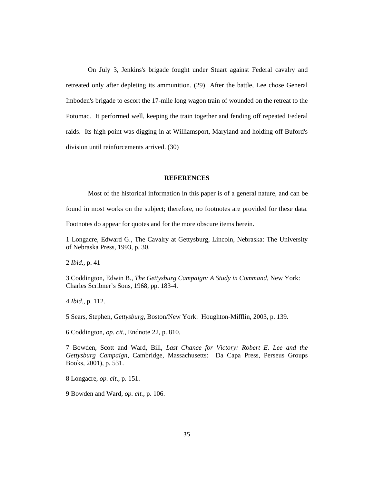On July 3, Jenkins's brigade fought under Stuart against Federal cavalry and retreated only after depleting its ammunition. (29) After the battle, Lee chose General Imboden's brigade to escort the 17-mile long wagon train of wounded on the retreat to the Potomac. It performed well, keeping the train together and fending off repeated Federal raids. Its high point was digging in at Williamsport, Maryland and holding off Buford's division until reinforcements arrived. (30)

## **REFERENCES**

Most of the historical information in this paper is of a general nature, and can be

found in most works on the subject; therefore, no footnotes are provided for these data.

Footnotes do appear for quotes and for the more obscure items herein.

1 Longacre, Edward G., The Cavalry at Gettysburg, Lincoln, Nebraska: The University of Nebraska Press, 1993, p. 30.

2 *Ibid.*, p. 41

3 Coddington, Edwin B., *The Gettysburg Campaign: A Study in Command,* New York: Charles Scribner's Sons, 1968, pp. 183-4.

4 *Ibid.*, p. 112.

5 Sears, Stephen, *Gettysburg,* Boston/New York: Houghton-Mifflin, 2003, p. 139.

6 Coddington, *op. cit*., Endnote 22, p. 810.

7 Bowden, Scott and Ward, Bill, *Last Chance for Victory: Robert E. Lee and the Gettysburg Campaign,* Cambridge, Massachusetts: Da Capa Press, Perseus Groups Books, 2001), p. 531.

8 Longacre, *op. cit*., p. 151.

9 Bowden and Ward, *op. cit.,* p. 106.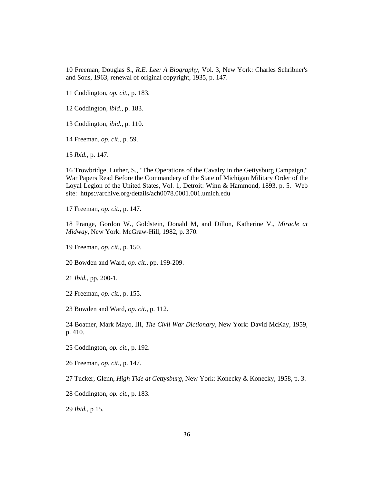Freeman, Douglas S., *R.E. Lee: A Biography,* Vol. 3, New York: Charles Schribner's and Sons, 1963, renewal of original copyright, 1935, p. 147.

Coddington, *op. cit.,* p. 183.

Coddington, *ibid.,* p. 183.

Coddington, *ibid.,* p. 110.

Freeman, *op. cit.,* p. 59.

*Ibid.*, p. 147.

 Trowbridge, Luther, S., "The Operations of the Cavalry in the Gettysburg Campaign," War Papers Read Before the Commandery of the State of Michigan Military Order of the Loyal Legion of the United States, Vol. 1, Detroit: Winn & Hammond, 1893, p. 5. Web site: https://archive.org/details/ach0078.0001.001.umich.edu

Freeman, *op. cit.,* p. 147.

 Prange, Gordon W., Goldstein, Donald M, and Dillon, Katherine V., *Miracle at Midway*, New York: McGraw-Hill, 1982, p. 370.

Freeman, *op. cit.,* p. 150.

Bowden and Ward, *op. cit.,* pp*.* 199-209.

*Ibid.,* pp*.* 200-1.

Freeman, *op. cit.,* p. 155.

Bowden and Ward, *op. cit.,* p. 112.

 Boatner, Mark Mayo, III, *The Civil War Dictionary*, New York: David McKay, 1959, p. 410.

Coddington, *op. cit.,* p. 192.

Freeman, *op. cit.,* p. 147.

Tucker, Glenn, *High Tide at Gettysburg*, New York: Konecky & Konecky, 1958, p. 3.

Coddington, *op. cit.,* p. 183.

*Ibid.,* p 15.